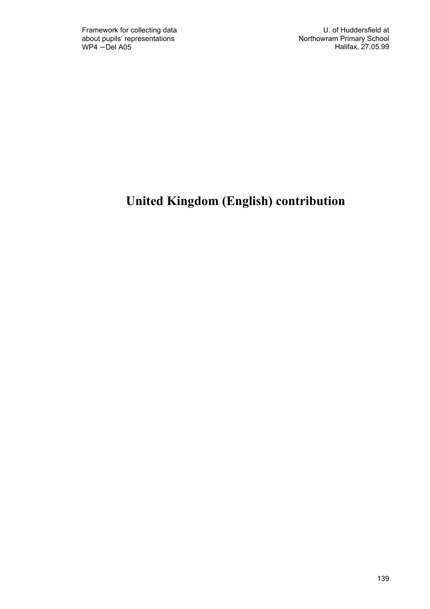# United Kingdom (English) contribution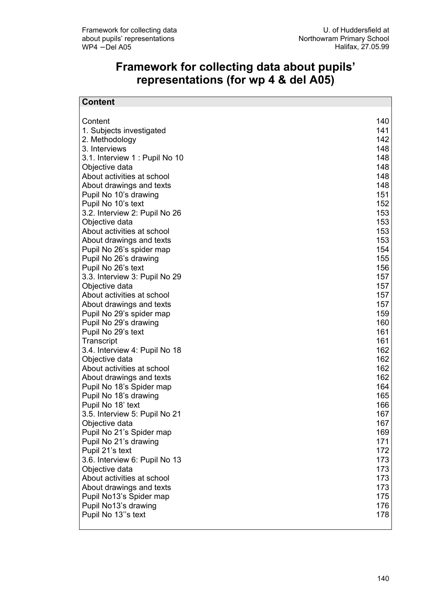## Framework for collecting data about pupils' representations (for wp 4 & del A05)

| <b>Content</b>                                      |            |
|-----------------------------------------------------|------------|
|                                                     |            |
| Content                                             | 140        |
| 1. Subjects investigated                            | 141        |
| 2. Methodology                                      | 142        |
| 3. Interviews                                       | 148        |
| 3.1. Interview 1: Pupil No 10                       | 148        |
| Objective data                                      | 148        |
| About activities at school                          | 148        |
| About drawings and texts                            | 148        |
| Pupil No 10's drawing                               | 151        |
| Pupil No 10's text                                  | 152        |
| 3.2. Interview 2: Pupil No 26                       | 153        |
| Objective data                                      | 153        |
| About activities at school                          | 153        |
| About drawings and texts                            | 153        |
| Pupil No 26's spider map                            | 154<br>155 |
| Pupil No 26's drawing                               |            |
| Pupil No 26's text<br>3.3. Interview 3: Pupil No 29 | 156<br>157 |
| Objective data                                      | 157        |
| About activities at school                          | 157        |
| About drawings and texts                            | 157        |
| Pupil No 29's spider map                            | 159        |
| Pupil No 29's drawing                               | 160        |
| Pupil No 29's text                                  | 161        |
| Transcript                                          | 161        |
| 3.4. Interview 4: Pupil No 18                       | 162        |
| Objective data                                      | 162        |
| About activities at school                          | 162        |
| About drawings and texts                            | 162        |
| Pupil No 18's Spider map                            | 164        |
| Pupil No 18's drawing                               | 165        |
| Pupil No 18' text                                   | 166        |
| 3.5. Interview 5: Pupil No 21                       | 167        |
| Objective data                                      | 167        |
| Pupil No 21's Spider map                            | 169        |
| Pupil No 21's drawing                               | 171        |
| Pupil 21's text                                     | 172        |
| 3.6. Interview 6: Pupil No 13                       | 173        |
| Objective data                                      | 173        |
| About activities at school                          | 173        |
| About drawings and texts                            | 173        |
| Pupil No13's Spider map                             | 175        |
| Pupil No13's drawing                                | 176        |
| Pupil No 13"s text                                  | 178        |
|                                                     |            |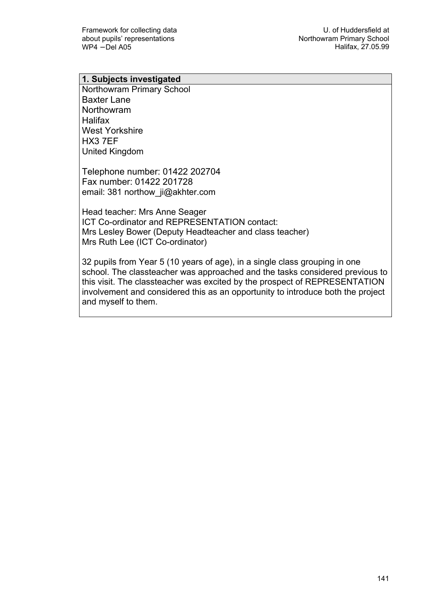#### 1. Subjects investigated

Northowram Primary School Baxter Lane Northowram Halifax West Yorkshire HX3 7EF United Kingdom

Telephone number: 01422 202704 Fax number: 01422 201728 email: 381 northow\_ji@akhter.com

Head teacher: Mrs Anne Seager ICT Co-ordinator and REPRESENTATION contact: Mrs Lesley Bower (Deputy Headteacher and class teacher) Mrs Ruth Lee (ICT Co-ordinator)

32 pupils from Year 5 (10 years of age), in a single class grouping in one school. The classteacher was approached and the tasks considered previous to this visit. The classteacher was excited by the prospect of REPRESENTATION involvement and considered this as an opportunity to introduce both the project and myself to them.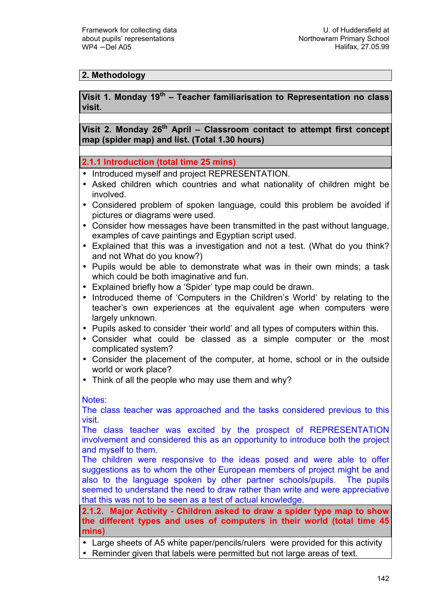## 2. Methodology

## Visit 1. Monday 19<sup>th</sup> – Teacher familiarisation to Representation no class visit.

Visit 2. Monday  $26<sup>th</sup>$  April – Classroom contact to attempt first concept map (spider map) and list. (Total 1.30 hours)

2.1.1 Introduction (total time 25 mins)

- Introduced myself and project REPRESENTATION.
- Asked children which countries and what nationality of children might be involved.
- Considered problem of spoken language, could this problem be avoided if pictures or diagrams were used.
- Consider how messages have been transmitted in the past without language, examples of cave paintings and Egyptian script used.
- Explained that this was a investigation and not a test. (What do you think? and not What do you know?)
- Pupils would be able to demonstrate what was in their own minds; a task which could be both imaginative and fun.
- Explained briefly how a 'Spider' type map could be drawn.
- Introduced theme of 'Computers in the Children's World' by relating to the teacher's own experiences at the equivalent age when computers were largely unknown.
- Pupils asked to consider 'their world' and all types of computers within this.
- Consider what could be classed as a simple computer or the most complicated system?
- Consider the placement of the computer, at home, school or in the outside world or work place?
- Think of all the people who may use them and why?

Notes:

The class teacher was approached and the tasks considered previous to this visit.

The class teacher was excited by the prospect of REPRESENTATION involvement and considered this as an opportunity to introduce both the project and myself to them.

The children were responsive to the ideas posed and were able to offer suggestions as to whom the other European members of project might be and also to the language spoken by other partner schools/pupils. The pupils seemed to understand the need to draw rather than write and were appreciative that this was not to be seen as a test of actual knowledge.

2.1.2. Major Activity - Children asked to draw a spider type map to show the different types and uses of computers in their world (total time 45 mins)

- Large sheets of A5 white paper/pencils/rulers were provided for this activity
- Reminder given that labels were permitted but not large areas of text.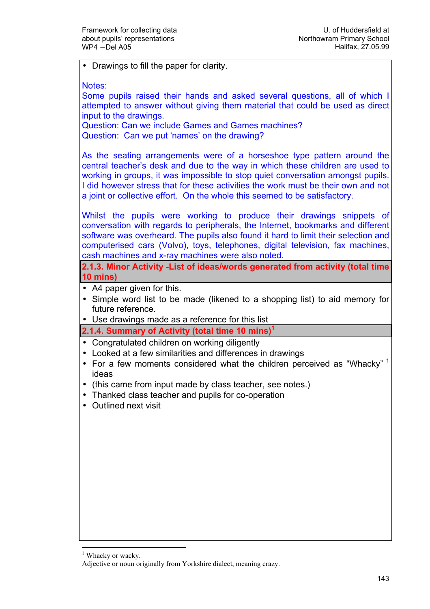• Drawings to fill the paper for clarity.

Notes:

Some pupils raised their hands and asked several questions, all of which I attempted to answer without giving them material that could be used as direct input to the drawings.

Question: Can we include Games and Games machines? Question: Can we put 'names' on the drawing?

As the seating arrangements were of a horseshoe type pattern around the central teacher's desk and due to the way in which these children are used to working in groups, it was impossible to stop quiet conversation amongst pupils. I did however stress that for these activities the work must be their own and not a joint or collective effort. On the whole this seemed to be satisfactory.

Whilst the pupils were working to produce their drawings snippets of conversation with regards to peripherals, the Internet, bookmarks and different software was overheard. The pupils also found it hard to limit their selection and computerised cars (Volvo), toys, telephones, digital television, fax machines, cash machines and x-ray machines were also noted.

2.1.3. Minor Activity -List of ideas/words generated from activity (total time 10 mins)

- A4 paper given for this.
- Simple word list to be made (likened to a shopping list) to aid memory for future reference.
- Use drawings made as a reference for this list

2.1.4. Summary of Activity (total time 10 mins)<sup>1</sup>

- Congratulated children on working diligently
- Looked at a few similarities and differences in drawings
- For a few moments considered what the children perceived as "Whacky"  $1$ ideas
- (this came from input made by class teacher, see notes.)
- Thanked class teacher and pupils for co-operation
- Outlined next visit

 $\overline{a}$ 

<sup>1</sup> Whacky or wacky.

Adjective or noun originally from Yorkshire dialect, meaning crazy.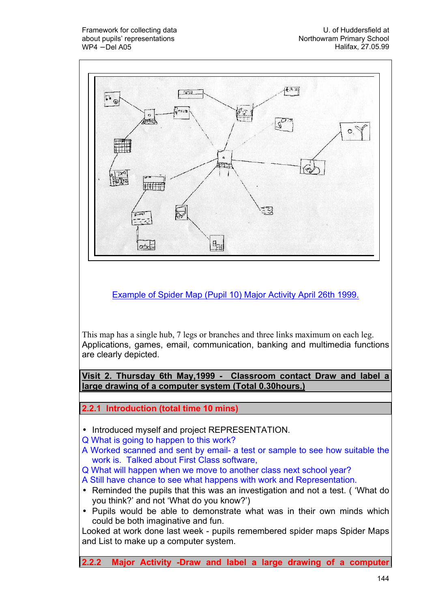

2.2.2 Major Activity -Draw and label a large drawing of a computer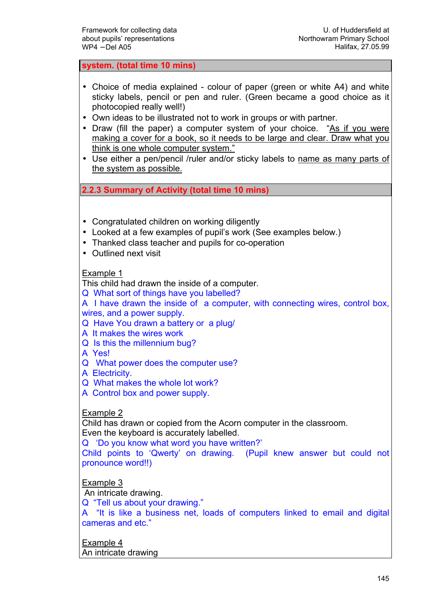system. (total time 10 mins)

- Choice of media explained colour of paper (green or white A4) and white sticky labels, pencil or pen and ruler. (Green became a good choice as it photocopied really well!)
- Own ideas to be illustrated not to work in groups or with partner.
- Draw (fill the paper) a computer system of your choice. "As if you were making a cover for a book, so it needs to be large and clear. Draw what you think is one whole computer system."
- Use either a pen/pencil /ruler and/or sticky labels to name as many parts of the system as possible.

2.2.3 Summary of Activity (total time 10 mins)

- Congratulated children on working diligently
- Looked at a few examples of pupil's work (See examples below.)
- Thanked class teacher and pupils for co-operation
- Outlined next visit

#### Example 1

This child had drawn the inside of a computer.

Q What sort of things have you labelled?

A I have drawn the inside of a computer, with connecting wires, control box, wires, and a power supply.

Q Have You drawn a battery or a plug/

A It makes the wires work

- Q Is this the millennium bug?
- A Yes!
- Q What power does the computer use?

A Electricity.

Q What makes the whole lot work?

A Control box and power supply.

#### Example 2

Child has drawn or copied from the Acorn computer in the classroom. Even the keyboard is accurately labelled.

Q 'Do you know what word you have written?'

Child points to 'Qwerty' on drawing. (Pupil knew answer but could not pronounce word!!)

## Example 3

An intricate drawing.

Q "Tell us about your drawing."

A "It is like a business net, loads of computers linked to email and digital cameras and etc."

Example 4 An intricate drawing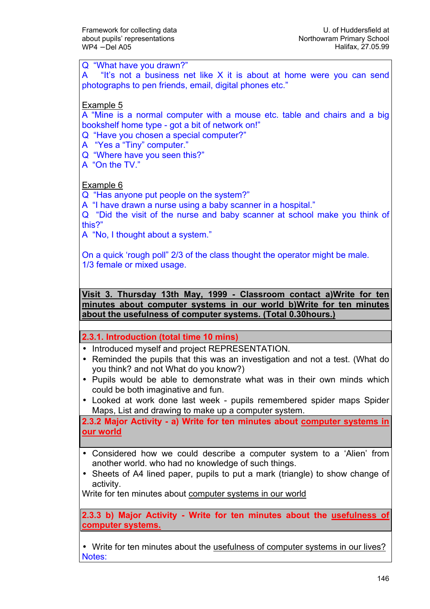Q "What have you drawn?" A "It's not a business net like X it is about at home were you can send photographs to pen friends, email, digital phones etc." Example 5 A "Mine is a normal computer with a mouse etc. table and chairs and a big bookshelf home type - got a bit of network on!" Q "Have you chosen a special computer?" A "Yes a "Tiny" computer." Q "Where have you seen this?" A "On the TV." Example 6 Q "Has anyone put people on the system?" A "I have drawn a nurse using a baby scanner in a hospital." Q "Did the visit of the nurse and baby scanner at school make you think of this?" A "No, I thought about a system." On a quick 'rough poll" 2/3 of the class thought the operator might be male. 1/3 female or mixed usage. Visit 3. Thursday 13th May, 1999 - Classroom contact a)Write for ten minutes about computer systems in our world b)Write for ten minutes about the usefulness of computer systems. (Total 0.30hours.) 2.3.1. Introduction (total time 10 mins) • Introduced myself and project REPRESENTATION. • Reminded the pupils that this was an investigation and not a test. (What do you think? and not What do you know?) • Pupils would be able to demonstrate what was in their own minds which could be both imaginative and fun. • Looked at work done last week - pupils remembered spider maps Spider Maps, List and drawing to make up a computer system. 2.3.2 Major Activity - a) Write for ten minutes about computer systems in our world • Considered how we could describe a computer system to a 'Alien' from another world. who had no knowledge of such things. • Sheets of A4 lined paper, pupils to put a mark (triangle) to show change of activity. Write for ten minutes about computer systems in our world 2.3.3 b) Major Activity - Write for ten minutes about the usefulness of computer systems.

• Write for ten minutes about the usefulness of computer systems in our lives? Notes: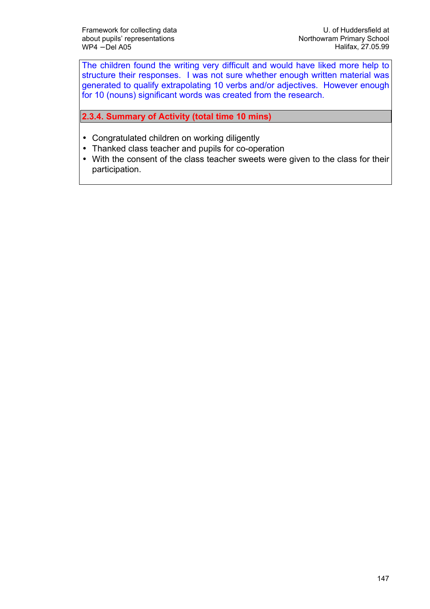The children found the writing very difficult and would have liked more help to structure their responses. I was not sure whether enough written material was generated to qualify extrapolating 10 verbs and/or adjectives. However enough for 10 (nouns) significant words was created from the research.

2.3.4. Summary of Activity (total time 10 mins)

- Congratulated children on working diligently
- Thanked class teacher and pupils for co-operation
- With the consent of the class teacher sweets were given to the class for their participation.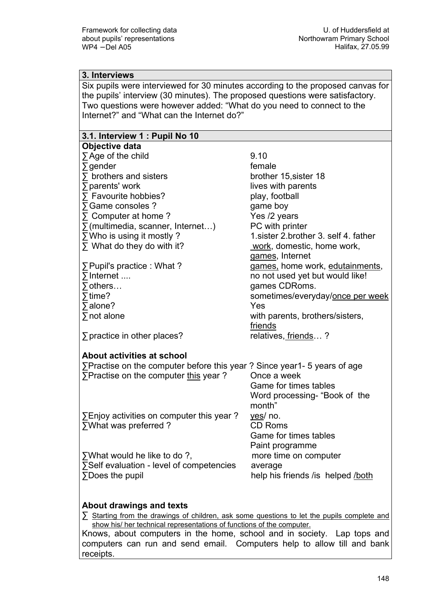#### 3. Interviews

Six pupils were interviewed for 30 minutes according to the proposed canvas for the pupils' interview (30 minutes). The proposed questions were satisfactory. Two questions were however added: "What do you need to connect to the Internet?" and "What can the Internet do?"

## 3.1. Interview 1 : Pupil No 10

| Objective data                                                          |                                        |
|-------------------------------------------------------------------------|----------------------------------------|
| $\sum$ Age of the child                                                 | 9.10                                   |
| $\Sigma$ gender                                                         | female                                 |
| $\Sigma$ brothers and sisters                                           | brother 15, sister 18                  |
| ∑ parents' work                                                         | lives with parents                     |
| ∑ Favourite hobbies?                                                    | play, football                         |
| ∑ Game consoles ?                                                       | game boy                               |
| $\Sigma$ Computer at home ?                                             | Yes /2 years                           |
| $\sum$ (multimedia, scanner, Internet)                                  | PC with printer                        |
| $\Sigma$ Who is using it mostly ?                                       | 1. sister 2. brother 3. self 4. father |
| $\Sigma$ What do they do with it?                                       | work, domestic, home work,             |
|                                                                         | games, Internet                        |
| $\Sigma$ Pupil's practice : What ?                                      | games, home work, edutainments,        |
| $\Sigma$ Internet                                                       | no not used yet but would like!        |
| $\sum$ others                                                           | games CDRoms.                          |
| $\overline{ }$ time?                                                    | sometimes/everyday/once per week       |
| $\Sigma$ alone?                                                         | Yes                                    |
| $\sum$ not alone                                                        | with parents, brothers/sisters,        |
|                                                                         | friends                                |
| $\sum$ practice in other places?                                        | relatives, friends?                    |
|                                                                         |                                        |
| <b>About activities at school</b>                                       |                                        |
| ∑Practise on the computer before this year? Since year1- 5 years of age |                                        |
| ∑Practise on the computer this year?                                    | Once a week                            |
|                                                                         | Game for times tables                  |
|                                                                         | Word processing- "Book of the          |
|                                                                         | month"                                 |
| $\Sigma$ Enjoy activities on computer this year?                        | yes/ no.                               |
| ∑What was preferred?                                                    | <b>CD Roms</b>                         |
|                                                                         | Game for times tables                  |
|                                                                         | Paint programme                        |
| ∑What would he like to do ?,                                            | more time on computer                  |
| ∑Self evaluation - level of competencies                                | average                                |
| ∑Does the pupil                                                         | help his friends / is helped / both    |
|                                                                         |                                        |
|                                                                         |                                        |

#### About drawings and texts

∑ Starting from the drawings of children, ask some questions to let the pupils complete and show his/ her technical representations of functions of the computer.

Knows, about computers in the home, school and in society. Lap tops and computers can run and send email. Computers help to allow till and bank receipts.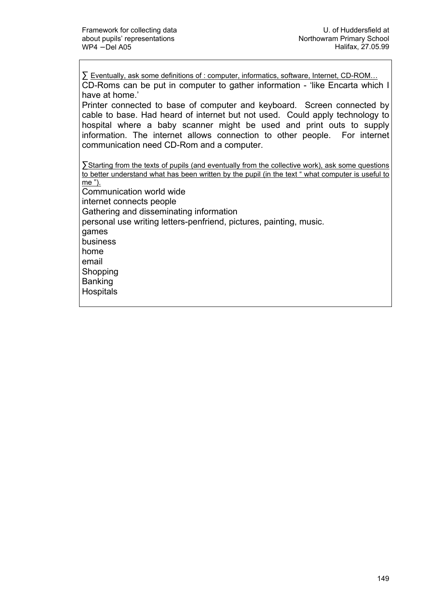∑ Eventually, ask some definitions of : computer, informatics, software, Internet, CD-ROM… CD-Roms can be put in computer to gather information - 'like Encarta which I have at home.'

Printer connected to base of computer and keyboard. Screen connected by cable to base. Had heard of internet but not used. Could apply technology to hospital where a baby scanner might be used and print outs to supply information. The internet allows connection to other people. For internet communication need CD-Rom and a computer.

∑Starting from the texts of pupils (and eventually from the collective work), ask some questions to better understand what has been written by the pupil (in the text " what computer is useful to me "). Communication world wide internet connects people Gathering and disseminating information personal use writing letters-penfriend, pictures, painting, music. games business home email **Shopping** Banking **Hospitals**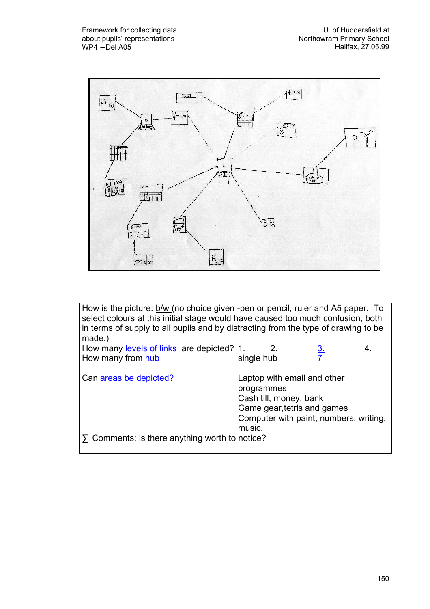

| How is the picture: b/w (no choice given -pen or pencil, ruler and A5 paper. To<br>select colours at this initial stage would have caused too much confusion, both<br>in terms of supply to all pupils and by distracting from the type of drawing to be<br>made.) |                      |                                                                                      |                                        |    |
|--------------------------------------------------------------------------------------------------------------------------------------------------------------------------------------------------------------------------------------------------------------------|----------------------|--------------------------------------------------------------------------------------|----------------------------------------|----|
| How many levels of links are depicted? 1.                                                                                                                                                                                                                          |                      | 2.                                                                                   | <u>3.</u>                              | 4. |
| How many from hub                                                                                                                                                                                                                                                  | single hub           |                                                                                      |                                        |    |
| Can areas be depicted?                                                                                                                                                                                                                                             | programmes<br>music. | Laptop with email and other<br>Cash till, money, bank<br>Game gear, tetris and games | Computer with paint, numbers, writing, |    |
| $\Sigma$ Comments: is there anything worth to notice?                                                                                                                                                                                                              |                      |                                                                                      |                                        |    |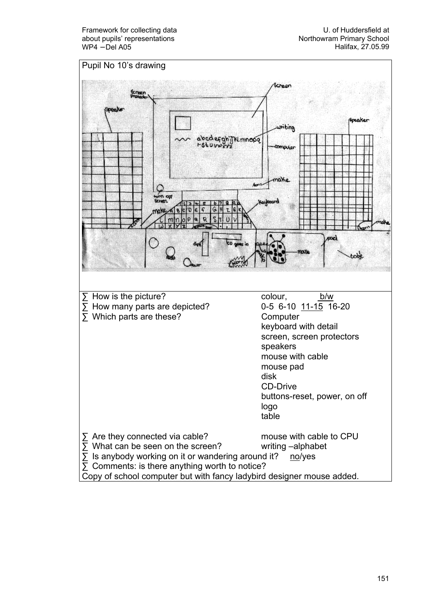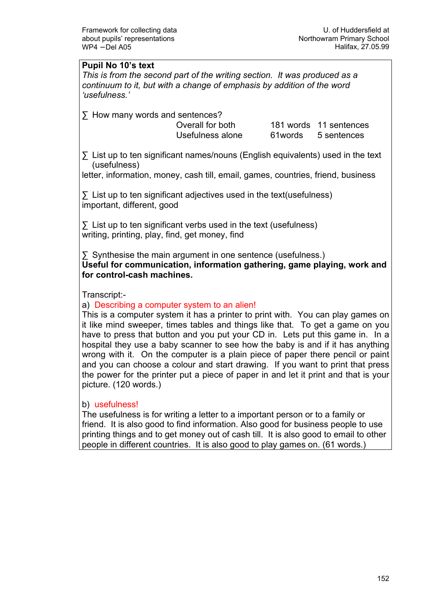## Pupil No 10's text

This is from the second part of the writing section. It was produced as a continuum to it, but with a change of emphasis by addition of the word 'usefulness.'

∑ How many words and sentences?

 Overall for both 181 words 11 sentences Usefulness alone 61words 5 sentences

∑ List up to ten significant names/nouns (English equivalents) used in the text (usefulness)

letter, information, money, cash till, email, games, countries, friend, business

∑ List up to ten significant adjectives used in the text(usefulness) important, different, good

∑ List up to ten significant verbs used in the text (usefulness) writing, printing, play, find, get money, find

∑ Synthesise the main argument in one sentence (usefulness.) Useful for communication, information gathering, game playing, work and for control-cash machines.

Transcript:-

## a) Describing a computer system to an alien!

This is a computer system it has a printer to print with. You can play games on it like mind sweeper, times tables and things like that. To get a game on you have to press that button and you put your CD in. Lets put this game in. In a hospital they use a baby scanner to see how the baby is and if it has anything wrong with it. On the computer is a plain piece of paper there pencil or paint and you can choose a colour and start drawing. If you want to print that press the power for the printer put a piece of paper in and let it print and that is your picture. (120 words.)

#### b) usefulness!

The usefulness is for writing a letter to a important person or to a family or friend. It is also good to find information. Also good for business people to use printing things and to get money out of cash till. It is also good to email to other people in different countries. It is also good to play games on. (61 words.)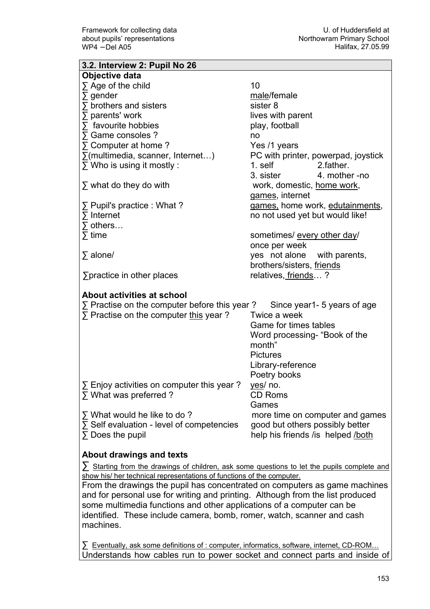$\overline{\phantom{0}}$ 

| 3.2. Interview 2: Pupil No 26                                                                    |                                     |  |
|--------------------------------------------------------------------------------------------------|-------------------------------------|--|
| Objective data                                                                                   |                                     |  |
| $\Sigma$ Age of the child                                                                        | 10                                  |  |
| $\sum$ gender                                                                                    | male/female                         |  |
| $\sum$ brothers and sisters                                                                      | sister 8                            |  |
| $\sum$ parents' work                                                                             | lives with parent                   |  |
| $\sum$ favourite hobbies                                                                         | play, football                      |  |
| ∑ Game consoles ?                                                                                | no                                  |  |
| $\Sigma$ Computer at home ?                                                                      | Yes /1 years                        |  |
| $\Sigma$ (multimedia, scanner, Internet)                                                         | PC with printer, powerpad, joystick |  |
| $\Sigma$ Who is using it mostly :                                                                | 1. self<br>2.father.                |  |
|                                                                                                  | 4. mother -no<br>3. sister          |  |
| $\Sigma$ what do they do with                                                                    | work, domestic, home work,          |  |
|                                                                                                  | games, internet                     |  |
| $\Sigma$ Pupil's practice : What ?                                                               | games, home work, edutainments,     |  |
| $\sum$ Internet                                                                                  | no not used yet but would like!     |  |
| $\Sigma$ others                                                                                  |                                     |  |
| $\sum$ time                                                                                      | sometimes/ every other day/         |  |
|                                                                                                  | once per week                       |  |
| $\Sigma$ alone/                                                                                  | yes not alone<br>with parents,      |  |
|                                                                                                  | brothers/sisters, friends           |  |
| $\sum$ practice in other places                                                                  | relatives, friends?                 |  |
|                                                                                                  |                                     |  |
| About activities at school                                                                       |                                     |  |
| $\Sigma$ Practise on the computer before this year?                                              | Since year1- 5 years of age         |  |
| $\Sigma$ Practise on the computer this year?                                                     | Twice a week                        |  |
|                                                                                                  | Game for times tables               |  |
|                                                                                                  | Word processing- "Book of the       |  |
|                                                                                                  | month"<br><b>Pictures</b>           |  |
|                                                                                                  |                                     |  |
|                                                                                                  | Library-reference                   |  |
|                                                                                                  | Poetry books                        |  |
| $\Sigma$ Enjoy activities on computer this year?                                                 | yes/ no.                            |  |
| $\Sigma$ What was preferred ?                                                                    | <b>CD Roms</b>                      |  |
|                                                                                                  | Games                               |  |
| $\Sigma$ What would he like to do?                                                               | more time on computer and games     |  |
| $\Sigma$ Self evaluation - level of competencies                                                 | good but others possibly better     |  |
| $\sum$ Does the pupil                                                                            | help his friends / is helped / both |  |
| About drawings and texts                                                                         |                                     |  |
| $\sum$ Starting from the drawings of children, ask some questions to let the pupils complete and |                                     |  |
| show his/ her technical representations of functions of the computer.                            |                                     |  |
| From the drawings the pupil has concentrated on computers as game machines                       |                                     |  |
| and for personal use for writing and printing. Although from the list produced                   |                                     |  |
| some multimedia functions and other applications of a computer can be                            |                                     |  |
| identified. These include camera, bomb, romer, watch, scanner and cash                           |                                     |  |
| machines.                                                                                        |                                     |  |
|                                                                                                  |                                     |  |

∑ Eventually, ask some definitions of : computer, informatics, software, internet, CD-ROM... Understands how cables run to power socket and connect parts and inside of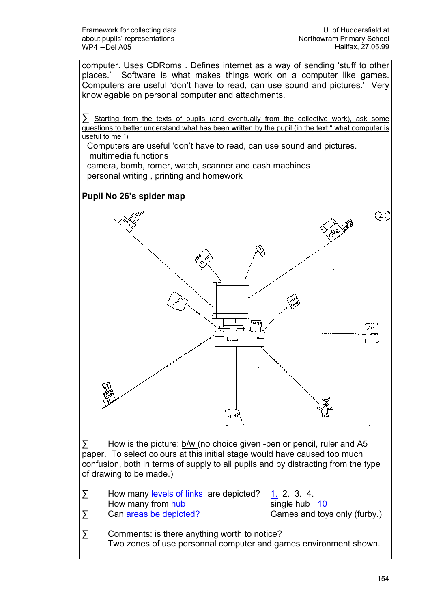computer. Uses CDRoms . Defines internet as a way of sending 'stuff to other places.' Software is what makes things work on a computer like games. Computers are useful 'don't have to read, can use sound and pictures.' Very knowlegable on personal computer and attachments.

∑ Starting from the texts of pupils (and eventually from the collective work), ask some questions to better understand what has been written by the pupil (in the text " what computer is useful to me")

Computers are useful 'don't have to read, can use sound and pictures. multimedia functions

camera, bomb, romer, watch, scanner and cash machines personal writing , printing and homework



∑ How is the picture: b/w (no choice given -pen or pencil, ruler and A5 paper. To select colours at this initial stage would have caused too much confusion, both in terms of supply to all pupils and by distracting from the type of drawing to be made.)

- ∑ How many levels of links are depicted? 1. 2. 3. 4.  $\sum$  How many from hub single hub 10<br>  $\sum$  Can areas be depicted? Games and toy Can areas be depicted? Games and toys only (furby.)
- $\Sigma$  Comments: is there anything worth to notice? Two zones of use personnal computer and games environment shown.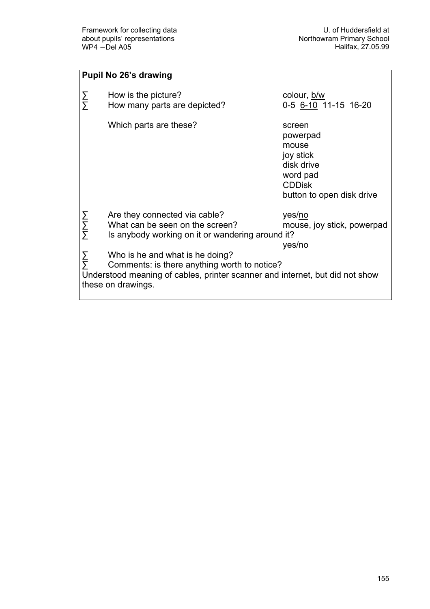|                    | <b>Pupil No 26's drawing</b>                                                                                                                                                          |                                                                                                                  |
|--------------------|---------------------------------------------------------------------------------------------------------------------------------------------------------------------------------------|------------------------------------------------------------------------------------------------------------------|
| ΣΣ                 | How is the picture?<br>How many parts are depicted?                                                                                                                                   | colour, b/w<br>0-5 6-10 11-15 16-20                                                                              |
|                    | Which parts are these?                                                                                                                                                                | screen<br>powerpad<br>mouse<br>joy stick<br>disk drive<br>word pad<br><b>CDDisk</b><br>button to open disk drive |
| ΣΣΣ                | Are they connected via cable?<br>What can be seen on the screen?<br>Is anybody working on it or wandering around it?                                                                  | yes/no<br>mouse, joy stick, powerpad<br>yes/no                                                                   |
| $\frac{\Sigma}{2}$ | Who is he and what is he doing?<br>Comments: is there anything worth to notice?<br>Understood meaning of cables, printer scanner and internet, but did not show<br>these on drawings. |                                                                                                                  |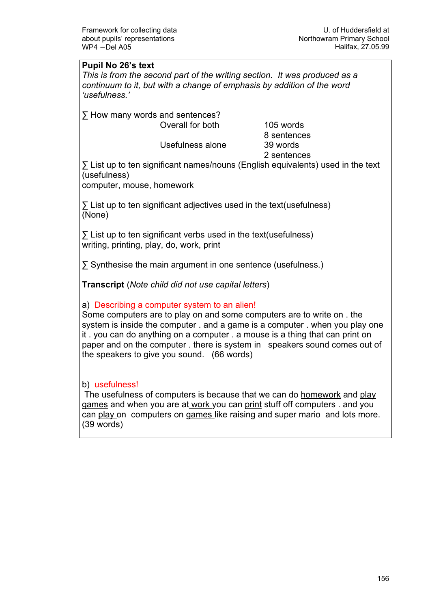### Pupil No 26's text

This is from the second part of the writing section. It was produced as a continuum to it, but with a change of emphasis by addition of the word 'usefulness.'

∑ How many words and sentences?

 Overall for both 105 words 8 sentences Usefulness alone 39 words 2 sentences

∑ List up to ten significant names/nouns (English equivalents) used in the text (usefulness)

computer, mouse, homework

∑ List up to ten significant adjectives used in the text(usefulness) (None)

∑ List up to ten significant verbs used in the text(usefulness) writing, printing, play, do, work, print

∑ Synthesise the main argument in one sentence (usefulness.)

Transcript (Note child did not use capital letters)

## a) Describing a computer system to an alien!

Some computers are to play on and some computers are to write on . the system is inside the computer . and a game is a computer . when you play one it . you can do anything on a computer . a mouse is a thing that can print on paper and on the computer . there is system in speakers sound comes out of the speakers to give you sound. (66 words)

#### b) usefulness!

 The usefulness of computers is because that we can do homework and play games and when you are at work you can print stuff off computers . and you can play on computers on games like raising and super mario and lots more. (39 words)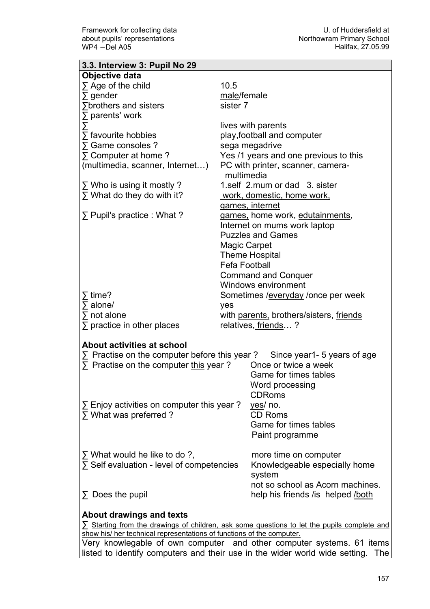| 3.3. Interview 3: Pupil No 29                                                      |                     |                                                                                                  |
|------------------------------------------------------------------------------------|---------------------|--------------------------------------------------------------------------------------------------|
| Objective data                                                                     |                     |                                                                                                  |
| $\Sigma$ Age of the child                                                          | 10.5                |                                                                                                  |
| $\sum$ gender                                                                      | male/female         |                                                                                                  |
| <b>∑brothers and sisters</b>                                                       | sister 7            |                                                                                                  |
| $\Sigma$ parents' work                                                             |                     |                                                                                                  |
|                                                                                    |                     | lives with parents                                                                               |
| $\sum$ favourite hobbies                                                           |                     | play, football and computer                                                                      |
| ∑ Game consoles ?                                                                  |                     | sega megadrive                                                                                   |
| $\Sigma$ Computer at home ?                                                        |                     | Yes /1 years and one previous to this                                                            |
| (multimedia, scanner, Internet)                                                    |                     | PC with printer, scanner, camera-<br>multimedia                                                  |
| $\Sigma$ Who is using it mostly ?                                                  |                     | 1.self 2.mum or dad 3. sister                                                                    |
| $\Sigma$ What do they do with it?                                                  |                     | <u>work, domestic, home work,</u>                                                                |
|                                                                                    |                     | <u>games, internet</u>                                                                           |
| $\Sigma$ Pupil's practice : What ?                                                 |                     | games, home work, edutainments,                                                                  |
|                                                                                    |                     | Internet on mums work laptop                                                                     |
|                                                                                    |                     | <b>Puzzles and Games</b>                                                                         |
|                                                                                    |                     | Magic Carpet                                                                                     |
|                                                                                    |                     | <b>Theme Hospital</b>                                                                            |
|                                                                                    |                     | <b>Fefa Football</b>                                                                             |
|                                                                                    |                     | <b>Command and Conquer</b>                                                                       |
|                                                                                    |                     | Windows environment                                                                              |
| $\overline{2}$ time?                                                               |                     | Sometimes / everyday / once per week                                                             |
| $\sum$ alone/                                                                      | yes                 |                                                                                                  |
| $\sum$ not alone                                                                   |                     | with parents, brothers/sisters, friends                                                          |
| $\Sigma$ practice in other places                                                  | relatives, friends? |                                                                                                  |
|                                                                                    |                     |                                                                                                  |
| <b>About activities at school</b>                                                  |                     |                                                                                                  |
| $\Sigma$ Practise on the computer before this year?<br>Since year1- 5 years of age |                     |                                                                                                  |
| $\Sigma$ Practise on the computer this year?                                       |                     | Once or twice a week                                                                             |
|                                                                                    |                     | Game for times tables                                                                            |
|                                                                                    |                     | Word processing                                                                                  |
|                                                                                    |                     | <b>CDRoms</b>                                                                                    |
| $\Sigma$ Enjoy activities on computer this year?                                   |                     | yes/ no.                                                                                         |
| $\Sigma$ What was preferred ?                                                      |                     | CD Roms                                                                                          |
|                                                                                    |                     | Game for times tables                                                                            |
|                                                                                    |                     | Paint programme                                                                                  |
|                                                                                    |                     |                                                                                                  |
| $\Sigma$ What would he like to do ?,<br>∑ Self evaluation - level of competencies  |                     | more time on computer                                                                            |
|                                                                                    |                     | Knowledgeable especially home                                                                    |
|                                                                                    |                     | system<br>not so school as Acorn machines.                                                       |
|                                                                                    |                     |                                                                                                  |
| $\Sigma$ Does the pupil                                                            |                     | help his friends / is helped / both                                                              |
| About drawings and texts                                                           |                     |                                                                                                  |
|                                                                                    |                     | $\sum$ Starting from the drawings of children, ask some questions to let the pupils complete and |
| show his/ her technical representations of functions of the computer.              |                     |                                                                                                  |

Very knowlegable of own computer and other computer systems. 61 items listed to identify computers and their use in the wider world wide setting. The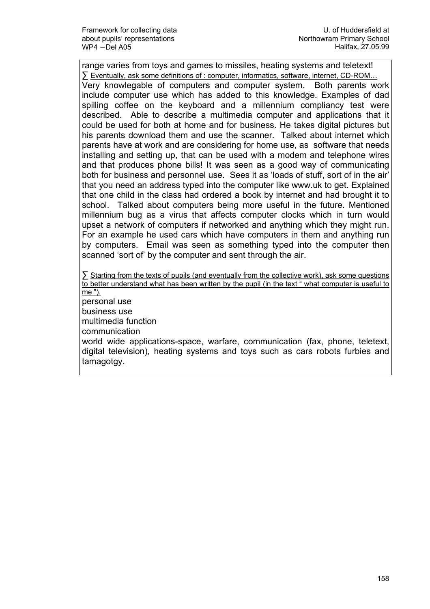range varies from toys and games to missiles, heating systems and teletext! ∑ Eventually, ask some definitions of : computer, informatics, software, internet, CD-ROM… Very knowlegable of computers and computer system. Both parents work include computer use which has added to this knowledge. Examples of dad spilling coffee on the keyboard and a millennium compliancy test were described. Able to describe a multimedia computer and applications that it could be used for both at home and for business. He takes digital pictures but his parents download them and use the scanner. Talked about internet which parents have at work and are considering for home use, as software that needs installing and setting up, that can be used with a modem and telephone wires and that produces phone bills! It was seen as a good way of communicating both for business and personnel use. Sees it as 'loads of stuff, sort of in the air' that you need an address typed into the computer like www.uk to get. Explained that one child in the class had ordered a book by internet and had brought it to school. Talked about computers being more useful in the future. Mentioned millennium bug as a virus that affects computer clocks which in turn would upset a network of computers if networked and anything which they might run. For an example he used cars which have computers in them and anything run by computers. Email was seen as something typed into the computer then scanned 'sort of' by the computer and sent through the air.

∑ Starting from the texts of pupils (and eventually from the collective work), ask some questions to better understand what has been written by the pupil (in the text " what computer is useful to me "). personal use business use multimedia function communication world wide applications-space, warfare, communication (fax, phone, teletext, digital television), heating systems and toys such as cars robots furbies and tamagotgy.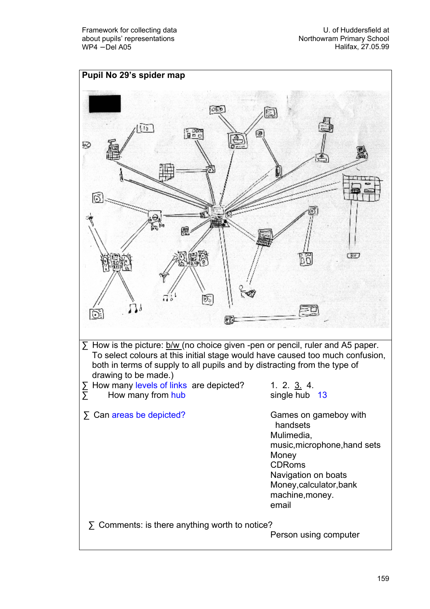U. of Huddersfield at Northowram Primary School Halifax, 27.05.99

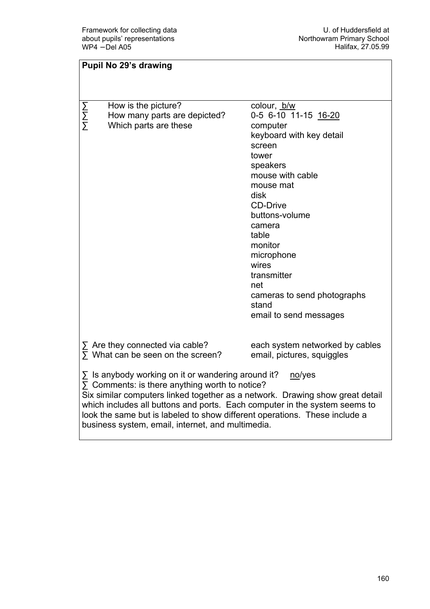| <b>Pupil No 29's drawing</b>                                                                                                                                                                                                                                                                                                                                                                                                   |                                                                                                                                                                                                                                                                                                                                       |  |
|--------------------------------------------------------------------------------------------------------------------------------------------------------------------------------------------------------------------------------------------------------------------------------------------------------------------------------------------------------------------------------------------------------------------------------|---------------------------------------------------------------------------------------------------------------------------------------------------------------------------------------------------------------------------------------------------------------------------------------------------------------------------------------|--|
|                                                                                                                                                                                                                                                                                                                                                                                                                                |                                                                                                                                                                                                                                                                                                                                       |  |
| How is the picture?<br>N<br>N<br>N<br>How many parts are depicted?<br>Which parts are these                                                                                                                                                                                                                                                                                                                                    | colour, b/w<br>0-5 6-10 11-15 16-20<br>computer<br>keyboard with key detail<br>screen<br>tower<br>speakers<br>mouse with cable<br>mouse mat<br>disk<br><b>CD-Drive</b><br>buttons-volume<br>camera<br>table<br>monitor<br>microphone<br>wires<br>transmitter<br>net<br>cameras to send photographs<br>stand<br>email to send messages |  |
| $\Sigma$ Are they connected via cable?<br>$\overline{\Sigma}$ What can be seen on the screen?                                                                                                                                                                                                                                                                                                                                  | each system networked by cables<br>email, pictures, squiggles                                                                                                                                                                                                                                                                         |  |
| $\Sigma$ Is anybody working on it or wandering around it?<br>no/yes<br>$\Sigma$ Comments: is there anything worth to notice?<br>Six similar computers linked together as a network. Drawing show great detail<br>which includes all buttons and ports. Each computer in the system seems to<br>look the same but is labeled to show different operations. These include a<br>business system, email, internet, and multimedia. |                                                                                                                                                                                                                                                                                                                                       |  |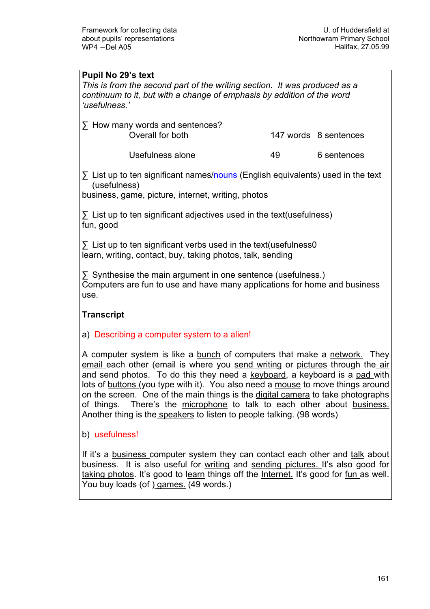#### Pupil No 29's text

This is from the second part of the writing section. It was produced as a continuum to it, but with a change of emphasis by addition of the word 'usefulness.'

| $\sum$ How many words and sentences? |    |                       |
|--------------------------------------|----|-----------------------|
| Overall for both                     |    | 147 words 8 sentences |
| Usefulness alone                     | 49 | 6 sentences           |

∑ List up to ten significant names/nouns (English equivalents) used in the text (usefulness)

business, game, picture, internet, writing, photos

 $\Sigma$  List up to ten significant adjectives used in the text(usefulness) fun, good

∑ List up to ten significant verbs used in the text(usefulness0 learn, writing, contact, buy, taking photos, talk, sending

∑ Synthesise the main argument in one sentence (usefulness.) Computers are fun to use and have many applications for home and business use.

## **Transcript**

#### a) Describing a computer system to a alien!

A computer system is like a bunch of computers that make a network. They email each other (email is where you send writing or pictures through the air and send photos. To do this they need a keyboard, a keyboard is a pad with lots of buttons (you type with it). You also need a mouse to move things around on the screen. One of the main things is the digital camera to take photographs of things. There's the microphone to talk to each other about business. Another thing is the speakers to listen to people talking. (98 words)

b) usefulness!

If it's a business computer system they can contact each other and talk about business. It is also useful for writing and sending pictures. It's also good for taking photos. It's good to learn things off the Internet. It's good for fun as well. You buy loads (of ) games. (49 words.)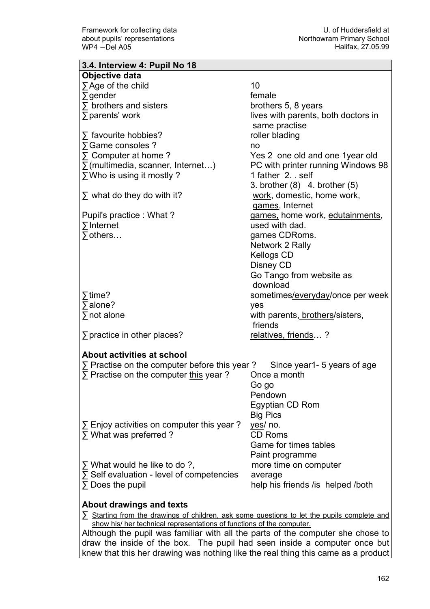| 3.4. Interview 4: Pupil No 18                                                                    |                                     |
|--------------------------------------------------------------------------------------------------|-------------------------------------|
| Objective data                                                                                   |                                     |
| $\sum$ Age of the child                                                                          | 10                                  |
| $\sum$ gender                                                                                    | female                              |
| $\sum$ brothers and sisters                                                                      | brothers 5, 8 years                 |
| $\sum$ parents' work                                                                             | lives with parents, both doctors in |
|                                                                                                  | same practise                       |
|                                                                                                  |                                     |
| $\sum$ favourite hobbies?                                                                        | roller blading                      |
| ∑ Game consoles ?                                                                                | no                                  |
| $\Sigma$ Computer at home ?                                                                      | Yes 2 one old and one 1 year old    |
| $\Sigma$ (multimedia, scanner, Internet)                                                         | PC with printer running Windows 98  |
| ∑ Who is using it mostly?                                                                        | 1 father 2. self                    |
|                                                                                                  | 3. brother $(8)$ 4. brother $(5)$   |
| $\sum$ what do they do with it?                                                                  | work, domestic, home work,          |
|                                                                                                  | games, Internet                     |
| Pupil's practice : What?                                                                         | games, home work, edutainments,     |
| $\sum$ Internet                                                                                  | used with dad.                      |
| $\sum$ others                                                                                    | games CDRoms.                       |
|                                                                                                  | Network 2 Rally                     |
|                                                                                                  | <b>Kellogs CD</b>                   |
|                                                                                                  | Disney CD                           |
|                                                                                                  |                                     |
|                                                                                                  | Go Tango from website as            |
|                                                                                                  | download                            |
| $\sqrt{\ }$ time?                                                                                | sometimes/everyday/once per week    |
| $\sqrt{ }$ alone?                                                                                | yes                                 |
| $\Sigma$ not alone                                                                               | with parents, brothers/sisters,     |
|                                                                                                  | friends                             |
| $\sum$ practice in other places?                                                                 | <u>relatives, friends</u> ?         |
|                                                                                                  |                                     |
| About activities at school                                                                       |                                     |
| $\Sigma$ Practise on the computer before this year ? Since year 1-5 years of age                 |                                     |
| $\Sigma$ Practise on the computer this year?                                                     | Once a month                        |
|                                                                                                  | Go go                               |
|                                                                                                  | Pendown                             |
|                                                                                                  | Egyptian CD Rom                     |
|                                                                                                  |                                     |
|                                                                                                  | <b>Big Pics</b>                     |
| $\Sigma$ Enjoy activities on computer this year?                                                 | yes/ no.                            |
| $\Sigma$ What was preferred ?                                                                    | <b>CD Roms</b>                      |
|                                                                                                  | Game for times tables               |
|                                                                                                  | Paint programme                     |
| $\Sigma$ What would he like to do ?,                                                             | more time on computer               |
| $\Sigma$ Self evaluation - level of competencies                                                 | average                             |
| $\Sigma$ Does the pupil                                                                          | help his friends / is helped / both |
|                                                                                                  |                                     |
| About drawings and texts                                                                         |                                     |
| $\sum$ Starting from the drawings of children, ask some questions to let the pupils complete and |                                     |
|                                                                                                  |                                     |

show his/ her technical representations of functions of the computer. Although the pupil was familiar with all the parts of the computer she chose to draw the inside of the box. The pupil had seen inside a computer once but knew that this her drawing was nothing like the real thing this came as a product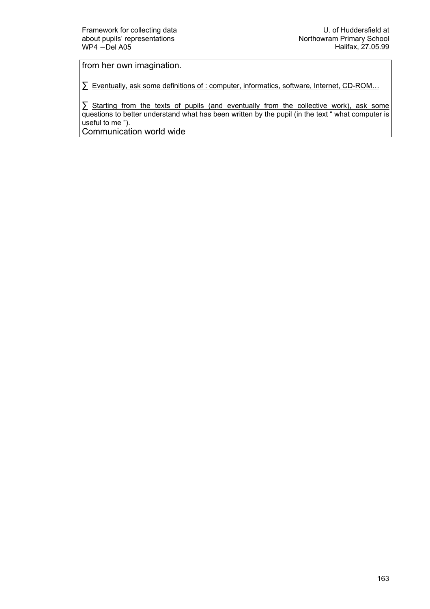from her own imagination.

∑ Eventually, ask some definitions of : computer, informatics, software, Internet, CD-ROM...

∑ Starting from the texts of pupils (and eventually from the collective work), ask some questions to better understand what has been written by the pupil (in the text " what computer is useful to me ").

Communication world wide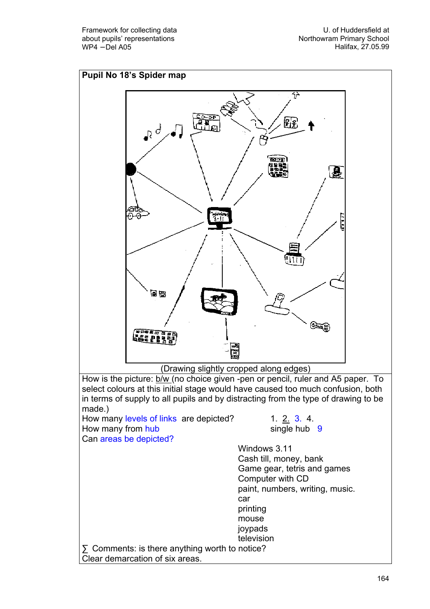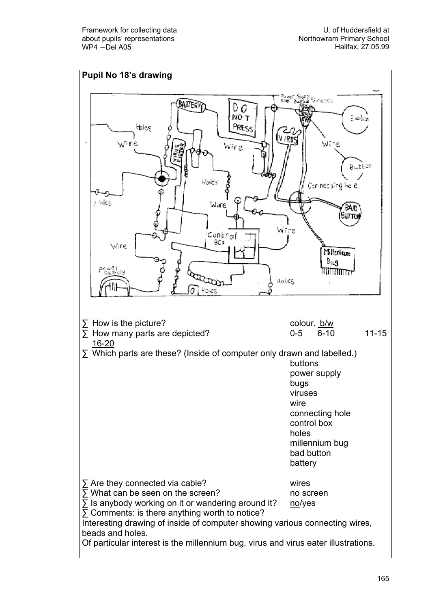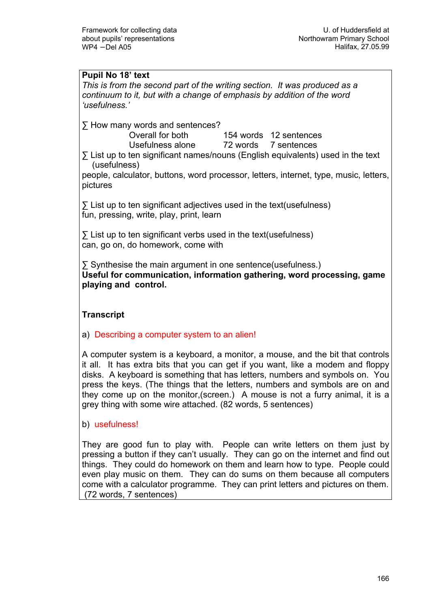## Pupil No 18' text

This is from the second part of the writing section. It was produced as a continuum to it, but with a change of emphasis by addition of the word 'usefulness.'

∑ How many words and sentences?

Overall for both 154 words 12 sentences

Usefulness alone 72 words 7 sentences

∑ List up to ten significant names/nouns (English equivalents) used in the text (usefulness)

people, calculator, buttons, word processor, letters, internet, type, music, letters, pictures

∑ List up to ten significant adjectives used in the text(usefulness) fun, pressing, write, play, print, learn

∑ List up to ten significant verbs used in the text(usefulness) can, go on, do homework, come with

∑ Synthesise the main argument in one sentence(usefulness.) Useful for communication, information gathering, word processing, game playing and control.

## **Transcript**

## a) Describing a computer system to an alien!

A computer system is a keyboard, a monitor, a mouse, and the bit that controls it all. It has extra bits that you can get if you want, like a modem and floppy disks. A keyboard is something that has letters, numbers and symbols on. You press the keys. (The things that the letters, numbers and symbols are on and they come up on the monitor,(screen.) A mouse is not a furry animal, it is a grey thing with some wire attached. (82 words, 5 sentences)

b) usefulness!

They are good fun to play with. People can write letters on them just by pressing a button if they can't usually. They can go on the internet and find out things. They could do homework on them and learn how to type. People could even play music on them. They can do sums on them because all computers come with a calculator programme. They can print letters and pictures on them. (72 words, 7 sentences)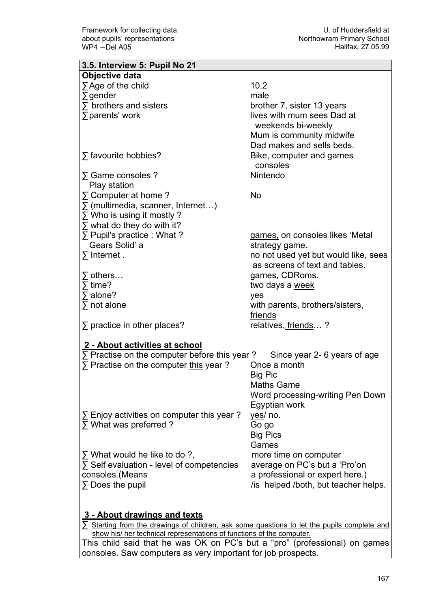| 3.5. Interview 5: Pupil No 21                       |                                      |
|-----------------------------------------------------|--------------------------------------|
| Objective data                                      |                                      |
| $\sum$ Age of the child                             | 10.2                                 |
| $\sum$ gender                                       | male                                 |
| $\sum$ brothers and sisters                         | brother 7, sister 13 years           |
| ∑ parents' work                                     | lives with mum sees Dad at           |
|                                                     | weekends bi-weekly                   |
|                                                     | Mum is community midwife             |
|                                                     | Dad makes and sells beds.            |
| $\Sigma$ favourite hobbies?                         | Bike, computer and games             |
|                                                     | consoles                             |
| $\Sigma$ Game consoles ?                            | Nintendo                             |
| Play station                                        |                                      |
| $\Sigma$ Computer at home ?                         | No                                   |
|                                                     |                                      |
| $\Sigma$ (multimedia, scanner, Internet)            |                                      |
| $\Sigma$ Who is using it mostly ?                   |                                      |
| $\Sigma$ what do they do with it?                   |                                      |
| $\Sigma$ Pupil's practice : What ?                  | games, on consoles likes 'Metal      |
| Gears Solid' a                                      | strategy game.                       |
| $\sum$ Internet.                                    | no not used yet but would like, sees |
|                                                     | as screens of text and tables.       |
| $\Sigma$ others                                     | games, CDRoms.                       |
| $\overline{ }$ time?                                | two days a week                      |
| $\sum$ alone?                                       | yes                                  |
| $\sum$ not alone                                    | with parents, brothers/sisters,      |
|                                                     | friends                              |
| $\Sigma$ practice in other places?                  | relatives, friends?                  |
|                                                     |                                      |
| 2 - About activities at school                      |                                      |
| $\Sigma$ Practise on the computer before this year? | Since year 2- 6 years of age         |
| $\Sigma$ Practise on the computer this year?        | Once a month                         |
|                                                     | Big Pic                              |
|                                                     | <b>Maths Game</b>                    |
|                                                     | Word processing-writing Pen Down     |
|                                                     | Egyptian work                        |
| $\Sigma$ Enjoy activities on computer this year?    | yes/ no.                             |
| $\Sigma$ What was preferred ?                       | Go go                                |
|                                                     | <b>Big Pics</b>                      |
|                                                     | Games                                |
| $\Sigma$ What would he like to do ?,                | more time on computer                |
| $\Sigma$ Self evaluation - level of competencies    | average on PC's but a 'Pro'on        |
| consoles.(Means                                     | a professional or expert here.)      |
| $\Sigma$ Does the pupil                             | /is helped /both, but teacher helps. |
|                                                     |                                      |
|                                                     |                                      |
| 3 - About drawings and texts                        |                                      |

∑ Starting from the drawings of children, ask some questions to let the pupils complete and show his/ her technical representations of functions of the computer.

This child said that he was OK on PC's but a "pro" (professional) on games consoles. Saw computers as very important for job prospects.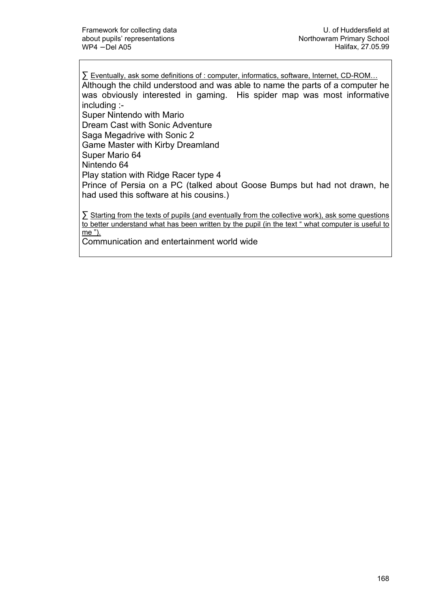∑ Eventually, ask some definitions of : computer, informatics, software, Internet, CD-ROM…

Although the child understood and was able to name the parts of a computer he was obviously interested in gaming. His spider map was most informative including :-

Super Nintendo with Mario

Dream Cast with Sonic Adventure

Saga Megadrive with Sonic 2

Game Master with Kirby Dreamland

Super Mario 64

Nintendo 64

Play station with Ridge Racer type 4

Prince of Persia on a PC (talked about Goose Bumps but had not drawn, he had used this software at his cousins.)

∑ Starting from the texts of pupils (and eventually from the collective work), ask some questions to better understand what has been written by the pupil (in the text " what computer is useful to me ").

Communication and entertainment world wide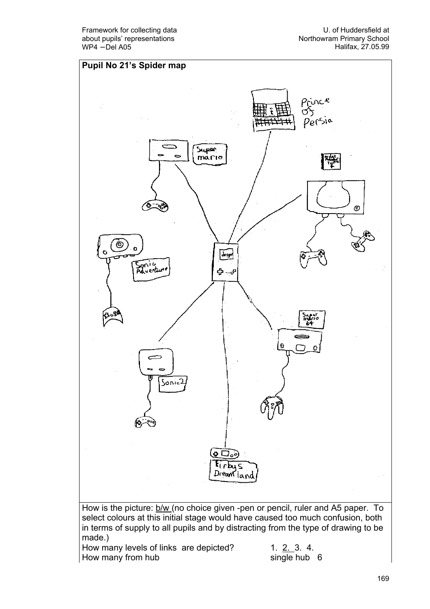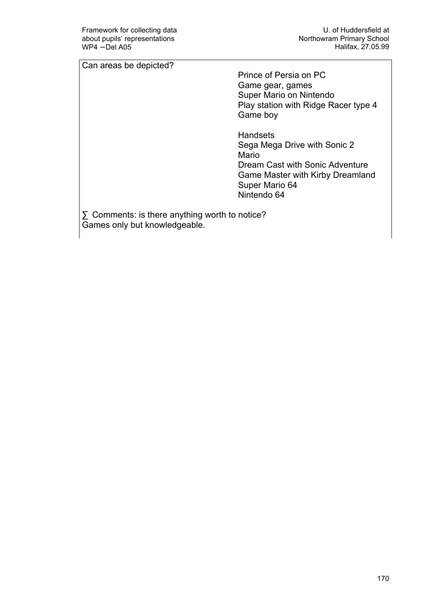Can areas be depicted?

 Prince of Persia on PC Game gear, games Super Mario on Nintendo Play station with Ridge Racer type 4 Game boy

**Handsets**  Sega Mega Drive with Sonic 2 Mario Dream Cast with Sonic Adventure Game Master with Kirby Dreamland Super Mario 64 Nintendo 64

∑ Comments: is there anything worth to notice? Games only but knowledgeable.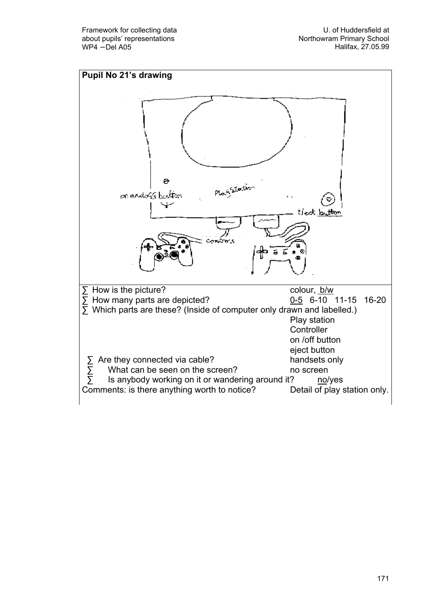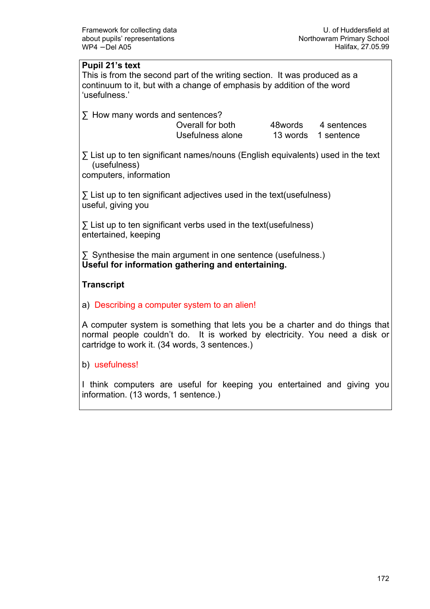#### Pupil 21's text

This is from the second part of the writing section. It was produced as a continuum to it, but with a change of emphasis by addition of the word 'usefulness.'

∑ How many words and sentences?

Overall for both 48words 4 sentences Usefulness alone 13 words 1 sentence

∑ List up to ten significant names/nouns (English equivalents) used in the text (usefulness)

computers, information

∑ List up to ten significant adjectives used in the text(usefulness) useful, giving you

∑ List up to ten significant verbs used in the text(usefulness) entertained, keeping

∑ Synthesise the main argument in one sentence (usefulness.) Useful for information gathering and entertaining.

## **Transcript**

a) Describing a computer system to an alien!

A computer system is something that lets you be a charter and do things that normal people couldn't do. It is worked by electricity. You need a disk or cartridge to work it. (34 words, 3 sentences.)

#### b) usefulness!

I think computers are useful for keeping you entertained and giving you information. (13 words, 1 sentence.)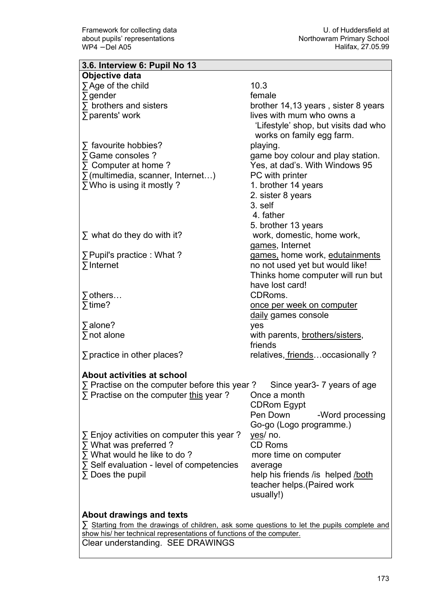| 3.6. Interview 6: Pupil No 13                                                                    |                                      |  |
|--------------------------------------------------------------------------------------------------|--------------------------------------|--|
| Objective data                                                                                   |                                      |  |
| $\sum$ Age of the child                                                                          | 10.3                                 |  |
| $\sum$ gender                                                                                    | female                               |  |
| $\sum$ brothers and sisters                                                                      | brother 14,13 years, sister 8 years  |  |
| $\sum$ parents' work                                                                             | lives with mum who owns a            |  |
|                                                                                                  | 'Lifestyle' shop, but visits dad who |  |
|                                                                                                  | works on family egg farm.            |  |
| $\sum$ favourite hobbies?                                                                        | playing.                             |  |
| ∑ Game consoles ?                                                                                | game boy colour and play station.    |  |
| $\Sigma$ Computer at home ?                                                                      | Yes, at dad's. With Windows 95       |  |
|                                                                                                  | PC with printer                      |  |
| $\sum$ (multimedia, scanner, Internet)                                                           |                                      |  |
| ∑ Who is using it mostly?                                                                        | 1. brother 14 years                  |  |
|                                                                                                  | 2. sister 8 years                    |  |
|                                                                                                  | 3. self                              |  |
|                                                                                                  | 4. father                            |  |
|                                                                                                  | 5. brother 13 years                  |  |
| $\Sigma$ what do they do with it?                                                                | work, domestic, home work,           |  |
|                                                                                                  | games, Internet                      |  |
| ∑ Pupil's practice : What?                                                                       | games, home work, edutainments       |  |
| $\Sigma$ Internet                                                                                | no not used yet but would like!      |  |
|                                                                                                  | Thinks home computer will run but    |  |
|                                                                                                  | have lost card!                      |  |
| $\Sigma$ others                                                                                  | CDRoms.                              |  |
| $\sqrt{\frac{1}{2}}$ time?                                                                       | <u>once per week on computer</u>     |  |
|                                                                                                  | daily games console                  |  |
| $\sqrt{ }$ alone?                                                                                | yes                                  |  |
| $\sum$ not alone                                                                                 | with parents, brothers/sisters,      |  |
|                                                                                                  | friends                              |  |
| $\sum$ practice in other places?                                                                 | relatives, friendsoccasionally?      |  |
|                                                                                                  |                                      |  |
| About activities at school                                                                       |                                      |  |
| $\Sigma$ Practise on the computer before this year ? Since year 3-7 years of age                 |                                      |  |
| $\Sigma$ Practise on the computer this year?                                                     | Once a month                         |  |
|                                                                                                  | <b>CDRom Egypt</b>                   |  |
|                                                                                                  | Pen Down<br>-Word processing         |  |
|                                                                                                  | Go-go (Logo programme.)              |  |
| $\sum$ Enjoy activities on computer this year?                                                   | yes/ no.                             |  |
| $\sum$ What was preferred ?                                                                      | <b>CD Roms</b>                       |  |
| $\Sigma$ What would he like to do?                                                               | more time on computer                |  |
| $\Sigma$ Self evaluation - level of competencies                                                 | average                              |  |
| $\Sigma$ Does the pupil                                                                          | help his friends / is helped / both  |  |
|                                                                                                  | teacher helps. (Paired work          |  |
|                                                                                                  | usually!)                            |  |
|                                                                                                  |                                      |  |
| About drawings and texts                                                                         |                                      |  |
| $\sum$ Starting from the drawings of children, ask some questions to let the pupils complete and |                                      |  |
| show his/ her technical representations of functions of the computer.                            |                                      |  |
| Clear understanding. SEE DRAWINGS                                                                |                                      |  |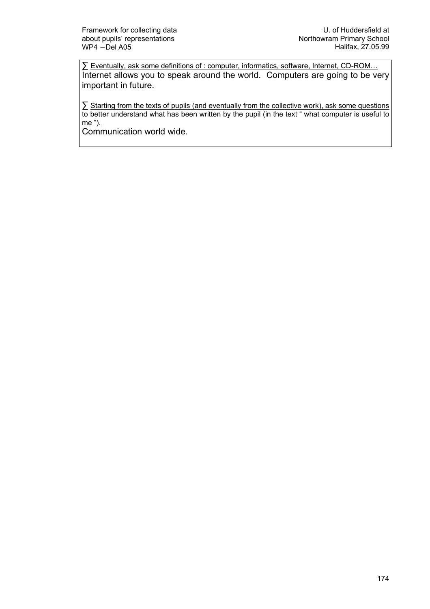∑ Eventually, ask some definitions of : computer, informatics, software, Internet, CD-ROM... Internet allows you to speak around the world. Computers are going to be very important in future.

∑ Starting from the texts of pupils (and eventually from the collective work), ask some questions to better understand what has been written by the pupil (in the text " what computer is useful to me ").

Communication world wide.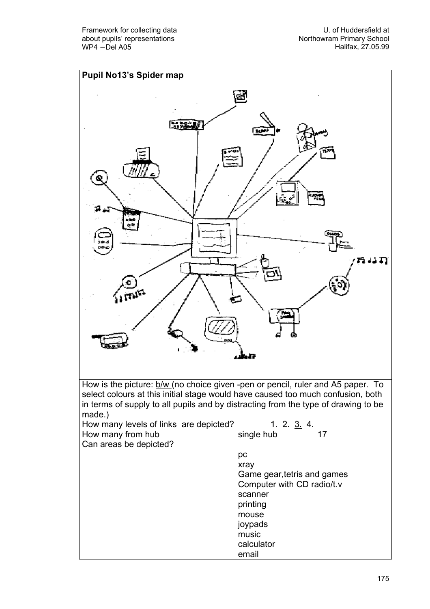U. of Huddersfield at Northowram Primary School Halifax, 27.05.99

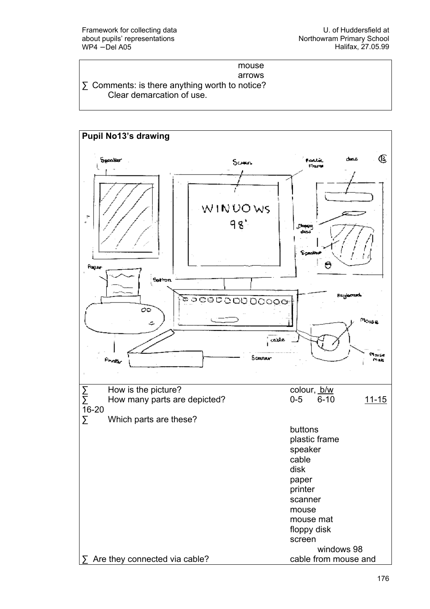#### mouse arrows

∑ Comments: is there anything worth to notice? Clear demarcation of use.

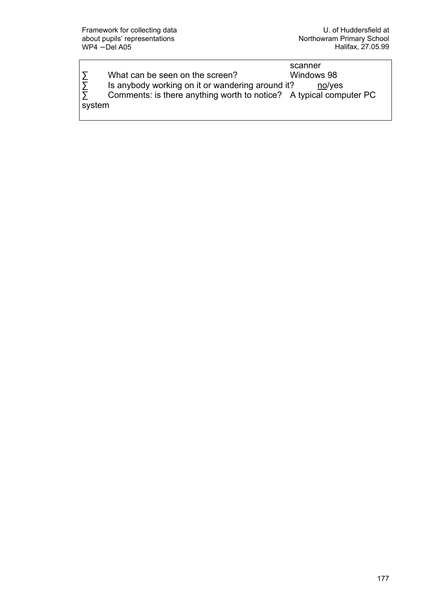|        |                                                                    | scanner    |
|--------|--------------------------------------------------------------------|------------|
| Σ      | What can be seen on the screen?                                    | Windows 98 |
| Σ      | Is anybody working on it or wandering around it?                   | no/yes     |
| Σ      | Comments: is there anything worth to notice? A typical computer PC |            |
| system |                                                                    |            |